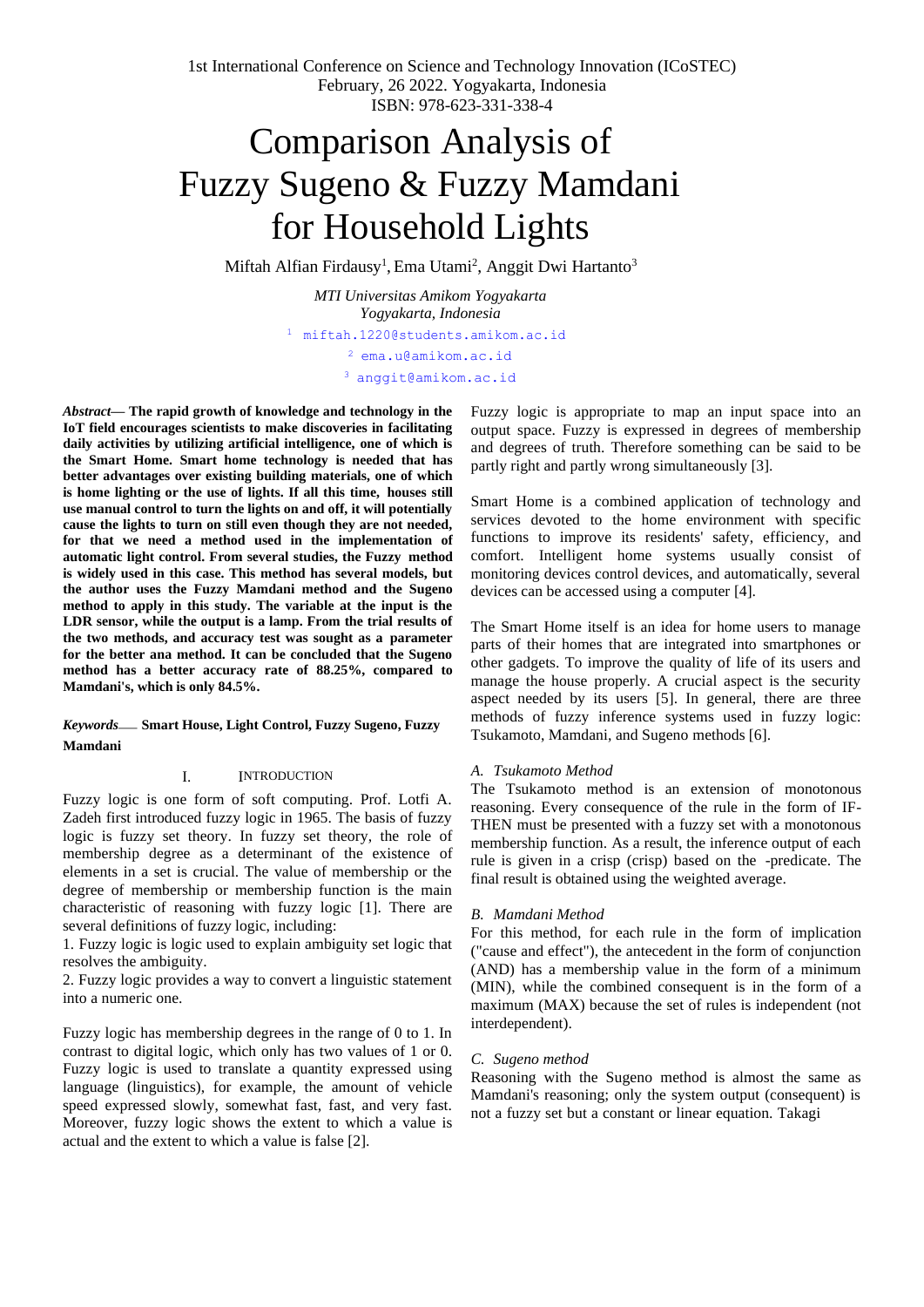# Comparison Analysis of Fuzzy Sugeno & Fuzzy Mamdani for Household Lights

Miftah Alfian Firdausy<sup>1</sup>, Ema Utami<sup>2</sup>, Anggit Dwi Hartanto<sup>3</sup>

*MTI Universitas Amikom Yogyakarta Yogyakarta, Indonesia* [1](mailto:1first.author@first-third.edu) [miftah.1220@students.amikom.ac.id](mailto:1first.author@first-third.edu) <sup>2</sup> [ema.u@amikom.ac.id](mailto:2%20ema.u@amikom.ac.id)

<sup>3</sup> [anggit@amikom.ac.id](mailto:3%20anggit@amikom.ac.id)

*Abstract***— The rapid growth of knowledge and technology in the IoT field encourages scientists to make discoveries in facilitating daily activities by utilizing artificial intelligence, one of which is the Smart Home. Smart home technology is needed that has better advantages over existing building materials, one of which is home lighting or the use of lights. If all this time, houses still use manual control to turn the lights on and off, it will potentially cause the lights to turn on still even though they are not needed, for that we need a method used in the implementation of automatic light control. From several studies, the Fuzzy method is widely used in this case. This method has several models, but the author uses the Fuzzy Mamdani method and the Sugeno method to apply in this study. The variable at the input is the LDR sensor, while the output is a lamp. From the trial results of the two methods, and accuracy test was sought as a parameter for the better ana method. It can be concluded that the Sugeno method has a better accuracy rate of 88.25%, compared to Mamdani's, which is only 84.5%.**

## *Keywords*— **Smart House, Light Control, Fuzzy Sugeno, Fuzzy Mamdani**

## I. INTRODUCTION

Fuzzy logic is one form of soft computing. Prof. Lotfi A. Zadeh first introduced fuzzy logic in 1965. The basis of fuzzy logic is fuzzy set theory. In fuzzy set theory, the role of membership degree as a determinant of the existence of elements in a set is crucial. The value of membership or the degree of membership or membership function is the main characteristic of reasoning with fuzzy logic [1]. There are several definitions of fuzzy logic, including:

1. Fuzzy logic is logic used to explain ambiguity set logic that resolves the ambiguity.

2. Fuzzy logic provides a way to convert a linguistic statement into a numeric one.

Fuzzy logic has membership degrees in the range of 0 to 1. In contrast to digital logic, which only has two values of 1 or 0. Fuzzy logic is used to translate a quantity expressed using language (linguistics), for example, the amount of vehicle speed expressed slowly, somewhat fast, fast, and very fast. Moreover, fuzzy logic shows the extent to which a value is actual and the extent to which a value is false [2].

Fuzzy logic is appropriate to map an input space into an output space. Fuzzy is expressed in degrees of membership and degrees of truth. Therefore something can be said to be partly right and partly wrong simultaneously [3].

Smart Home is a combined application of technology and services devoted to the home environment with specific functions to improve its residents' safety, efficiency, and comfort. Intelligent home systems usually consist of monitoring devices control devices, and automatically, several devices can be accessed using a computer [4].

The Smart Home itself is an idea for home users to manage parts of their homes that are integrated into smartphones or other gadgets. To improve the quality of life of its users and manage the house properly. A crucial aspect is the security aspect needed by its users [5]. In general, there are three methods of fuzzy inference systems used in fuzzy logic: Tsukamoto, Mamdani, and Sugeno methods [6].

## *A. Tsukamoto Method*

The Tsukamoto method is an extension of monotonous reasoning. Every consequence of the rule in the form of IF-THEN must be presented with a fuzzy set with a monotonous membership function. As a result, the inference output of each rule is given in a crisp (crisp) based on the -predicate. The final result is obtained using the weighted average.

## *B. Mamdani Method*

For this method, for each rule in the form of implication ("cause and effect"), the antecedent in the form of conjunction (AND) has a membership value in the form of a minimum (MIN), while the combined consequent is in the form of a maximum (MAX) because the set of rules is independent (not interdependent).

## *C. Sugeno method*

Reasoning with the Sugeno method is almost the same as Mamdani's reasoning; only the system output (consequent) is not a fuzzy set but a constant or linear equation. Takagi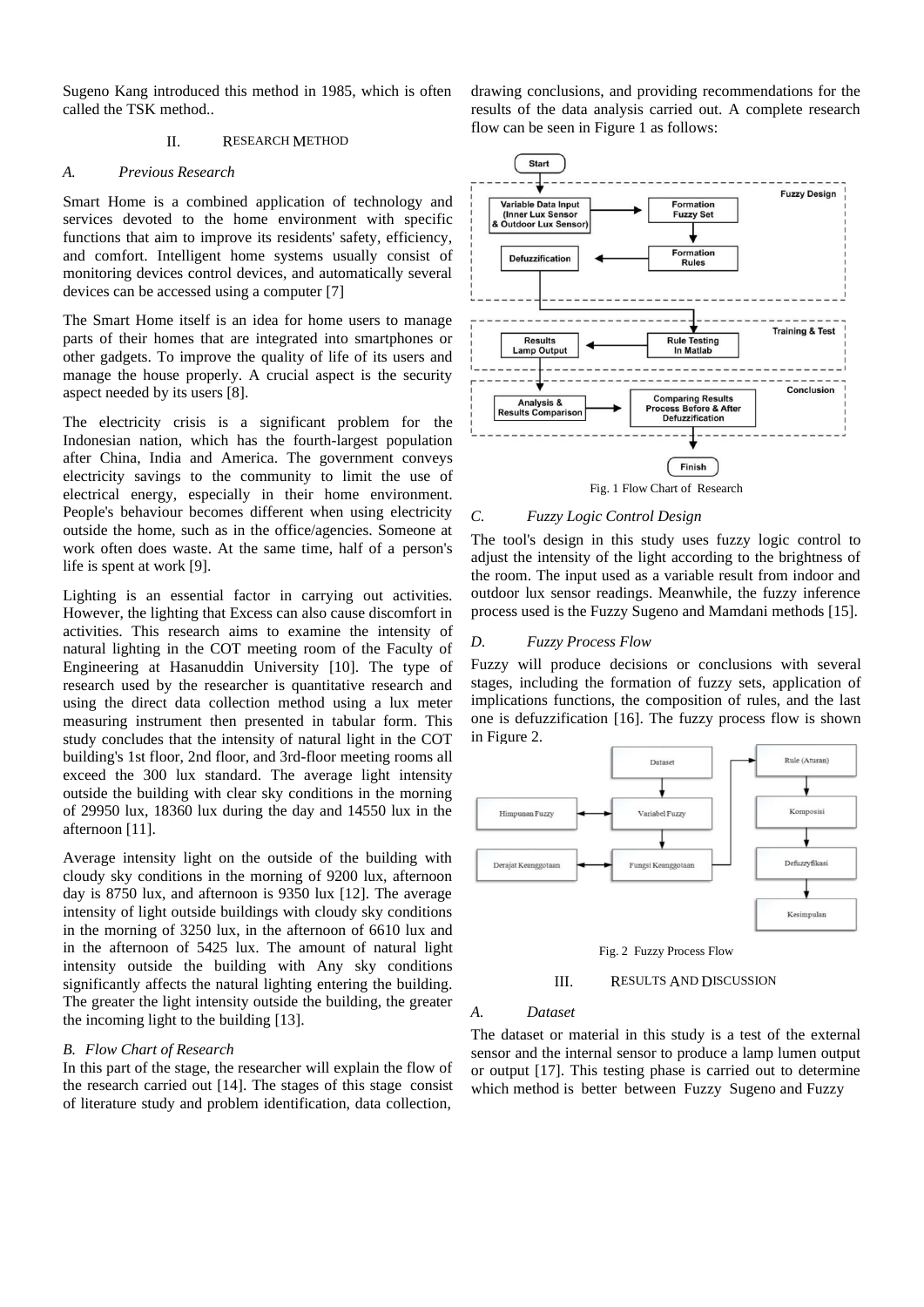Sugeno Kang introduced this method in 1985, which is often called the TSK method..

#### II. RESEARCH METHOD

#### *A. Previous Research*

Smart Home is a combined application of technology and services devoted to the home environment with specific functions that aim to improve its residents' safety, efficiency, and comfort. Intelligent home systems usually consist of monitoring devices control devices, and automatically several devices can be accessed using a computer [7]

The Smart Home itself is an idea for home users to manage parts of their homes that are integrated into smartphones or other gadgets. To improve the quality of life of its users and manage the house properly. A crucial aspect is the security aspect needed by its users [8].

The electricity crisis is a significant problem for the Indonesian nation, which has the fourth-largest population after China, India and America. The government conveys electricity savings to the community to limit the use of electrical energy, especially in their home environment. People's behaviour becomes different when using electricity outside the home, such as in the office/agencies. Someone at work often does waste. At the same time, half of a person's life is spent at work [9].

Lighting is an essential factor in carrying out activities. However, the lighting that Excess can also cause discomfort in activities. This research aims to examine the intensity of natural lighting in the COT meeting room of the Faculty of Engineering at Hasanuddin University [10]. The type of research used by the researcher is quantitative research and using the direct data collection method using a lux meter measuring instrument then presented in tabular form. This study concludes that the intensity of natural light in the COT building's 1st floor, 2nd floor, and 3rd-floor meeting rooms all exceed the 300 lux standard. The average light intensity outside the building with clear sky conditions in the morning of 29950 lux, 18360 lux during the day and 14550 lux in the afternoon [11].

Average intensity light on the outside of the building with cloudy sky conditions in the morning of 9200 lux, afternoon day is 8750 lux, and afternoon is 9350 lux [12]. The average intensity of light outside buildings with cloudy sky conditions in the morning of 3250 lux, in the afternoon of 6610 lux and in the afternoon of 5425 lux. The amount of natural light intensity outside the building with Any sky conditions significantly affects the natural lighting entering the building. The greater the light intensity outside the building, the greater the incoming light to the building [13].

## *B. Flow Chart of Research*

In this part of the stage, the researcher will explain the flow of the research carried out [14]. The stages of this stage consist of literature study and problem identification, data collection,

drawing conclusions, and providing recommendations for the results of the data analysis carried out. A complete research flow can be seen in Figure 1 as follows:



#### *C. Fuzzy Logic Control Design*

The tool's design in this study uses fuzzy logic control to adjust the intensity of the light according to the brightness of the room. The input used as a variable result from indoor and outdoor lux sensor readings. Meanwhile, the fuzzy inference process used is the Fuzzy Sugeno and Mamdani methods [15].

#### *D. Fuzzy Process Flow*

Fuzzy will produce decisions or conclusions with several stages, including the formation of fuzzy sets, application of implications functions, the composition of rules, and the last one is defuzzification [16]. The fuzzy process flow is shown in Figure 2.





#### III. RESULTS AND DISCUSSION

#### *A. Dataset*

The dataset or material in this study is a test of the external sensor and the internal sensor to produce a lamp lumen output or output [17]. This testing phase is carried out to determine which method is better between Fuzzy Sugeno and Fuzzy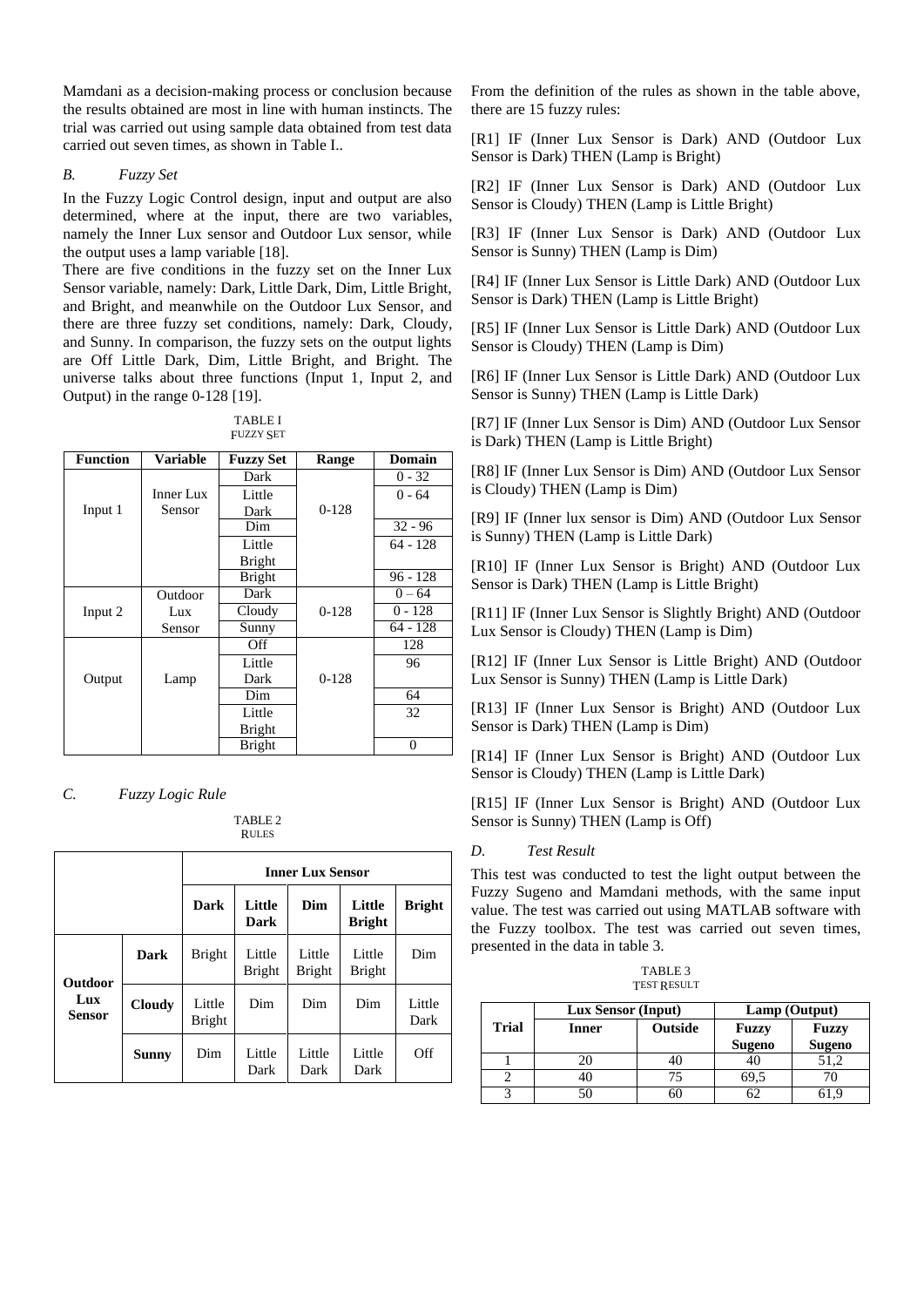Mamdani as a decision-making process or conclusion because the results obtained are most in line with human instincts. The trial was carried out using sample data obtained from test data carried out seven times, as shown in Table I..

## *B. Fuzzy Set*

In the Fuzzy Logic Control design, input and output are also determined, where at the input, there are two variables, namely the Inner Lux sensor and Outdoor Lux sensor, while the output uses a lamp variable [18].

There are five conditions in the fuzzy set on the Inner Lux Sensor variable, namely: Dark, Little Dark, Dim, Little Bright, and Bright, and meanwhile on the Outdoor Lux Sensor, and there are three fuzzy set conditions, namely: Dark, Cloudy, and Sunny. In comparison, the fuzzy sets on the output lights are Off Little Dark, Dim, Little Bright, and Bright. The universe talks about three functions (Input 1, Input 2, and Output) in the range 0-128 [19].

| TABLE I          |  |
|------------------|--|
| <b>FUZZY SET</b> |  |

| <b>Function</b> | Variable  | <b>Fuzzy Set</b> | Range   | Domain     |
|-----------------|-----------|------------------|---------|------------|
|                 |           | Dark             |         | $0 - 32$   |
|                 | Inner Lux | Little           |         | $0 - 64$   |
| Input 1         | Sensor    | Dark             | $0-128$ |            |
|                 |           | Dim              |         | $32 - 96$  |
|                 |           | Little           |         | $64 - 128$ |
|                 |           | <b>Bright</b>    |         |            |
|                 |           | <b>Bright</b>    |         | $96 - 128$ |
|                 | Outdoor   | Dark             |         | $0 - 64$   |
| Input 2         | Lux       | Cloudy           | $0-128$ | $0 - 128$  |
|                 | Sensor    | Sunny            |         | 64 - 128   |
|                 |           | Off              |         | 128        |
|                 |           | Little           |         | 96         |
| Output          | Lamp      | Dark             | $0-128$ |            |
|                 |           | Dim              |         | 64         |
|                 |           | Little           |         | 32         |
|                 |           | <b>Bright</b>    |         |            |
|                 |           | <b>Bright</b>    |         | 0          |

*C. Fuzzy Logic Rule*

TABLE 2 RULES

|               |               | <b>Inner Lux Sensor</b> |                         |                         |                         |                |
|---------------|---------------|-------------------------|-------------------------|-------------------------|-------------------------|----------------|
|               |               | Dark                    | Little<br>Dark          | Dim                     | Little<br><b>Bright</b> | <b>Bright</b>  |
| Outdoor       | Dark          | <b>Bright</b>           | Little<br><b>Bright</b> | Little<br><b>Bright</b> | Little<br><b>Bright</b> | Dim            |
| Lux<br>Sensor | <b>Cloudy</b> | Little<br><b>Bright</b> | Dim                     | Dim                     | Dim                     | Little<br>Dark |
|               | Sunny         | Dim                     | Little<br>Dark          | Little<br>Dark          | Little<br>Dark          | Off            |

From the definition of the rules as shown in the table above, there are 15 fuzzy rules:

[R1] IF (Inner Lux Sensor is Dark) AND (Outdoor Lux Sensor is Dark) THEN (Lamp is Bright)

[R2] IF (Inner Lux Sensor is Dark) AND (Outdoor Lux Sensor is Cloudy) THEN (Lamp is Little Bright)

[R3] IF (Inner Lux Sensor is Dark) AND (Outdoor Lux Sensor is Sunny) THEN (Lamp is Dim)

[R4] IF (Inner Lux Sensor is Little Dark) AND (Outdoor Lux Sensor is Dark) THEN (Lamp is Little Bright)

[R5] IF (Inner Lux Sensor is Little Dark) AND (Outdoor Lux Sensor is Cloudy) THEN (Lamp is Dim)

[R6] IF (Inner Lux Sensor is Little Dark) AND (Outdoor Lux Sensor is Sunny) THEN (Lamp is Little Dark)

[R7] IF (Inner Lux Sensor is Dim) AND (Outdoor Lux Sensor is Dark) THEN (Lamp is Little Bright)

[R8] IF (Inner Lux Sensor is Dim) AND (Outdoor Lux Sensor is Cloudy) THEN (Lamp is Dim)

[R9] IF (Inner lux sensor is Dim) AND (Outdoor Lux Sensor is Sunny) THEN (Lamp is Little Dark)

[R10] IF (Inner Lux Sensor is Bright) AND (Outdoor Lux Sensor is Dark) THEN (Lamp is Little Bright)

[R11] IF (Inner Lux Sensor is Slightly Bright) AND (Outdoor Lux Sensor is Cloudy) THEN (Lamp is Dim)

[R12] IF (Inner Lux Sensor is Little Bright) AND (Outdoor Lux Sensor is Sunny) THEN (Lamp is Little Dark)

[R13] IF (Inner Lux Sensor is Bright) AND (Outdoor Lux Sensor is Dark) THEN (Lamp is Dim)

[R14] IF (Inner Lux Sensor is Bright) AND (Outdoor Lux Sensor is Cloudy) THEN (Lamp is Little Dark)

[R15] IF (Inner Lux Sensor is Bright) AND (Outdoor Lux Sensor is Sunny) THEN (Lamp is Off)

## *D. Test Result*

This test was conducted to test the light output between the Fuzzy Sugeno and Mamdani methods, with the same input value. The test was carried out using MATLAB software with the Fuzzy toolbox. The test was carried out seven times, presented in the data in table 3.

TABLE 3 **TEST RESULT** 

|              | <b>Lux Sensor (Input)</b> |                | Lamp (Output)          |                               |  |
|--------------|---------------------------|----------------|------------------------|-------------------------------|--|
| <b>Trial</b> | Inner                     | <b>Outside</b> | Fuzzy<br><b>Sugeno</b> | <b>Fuzzy</b><br><b>Sugeno</b> |  |
|              |                           |                | 46                     | 51.2                          |  |
|              |                           |                |                        |                               |  |
|              |                           |                |                        |                               |  |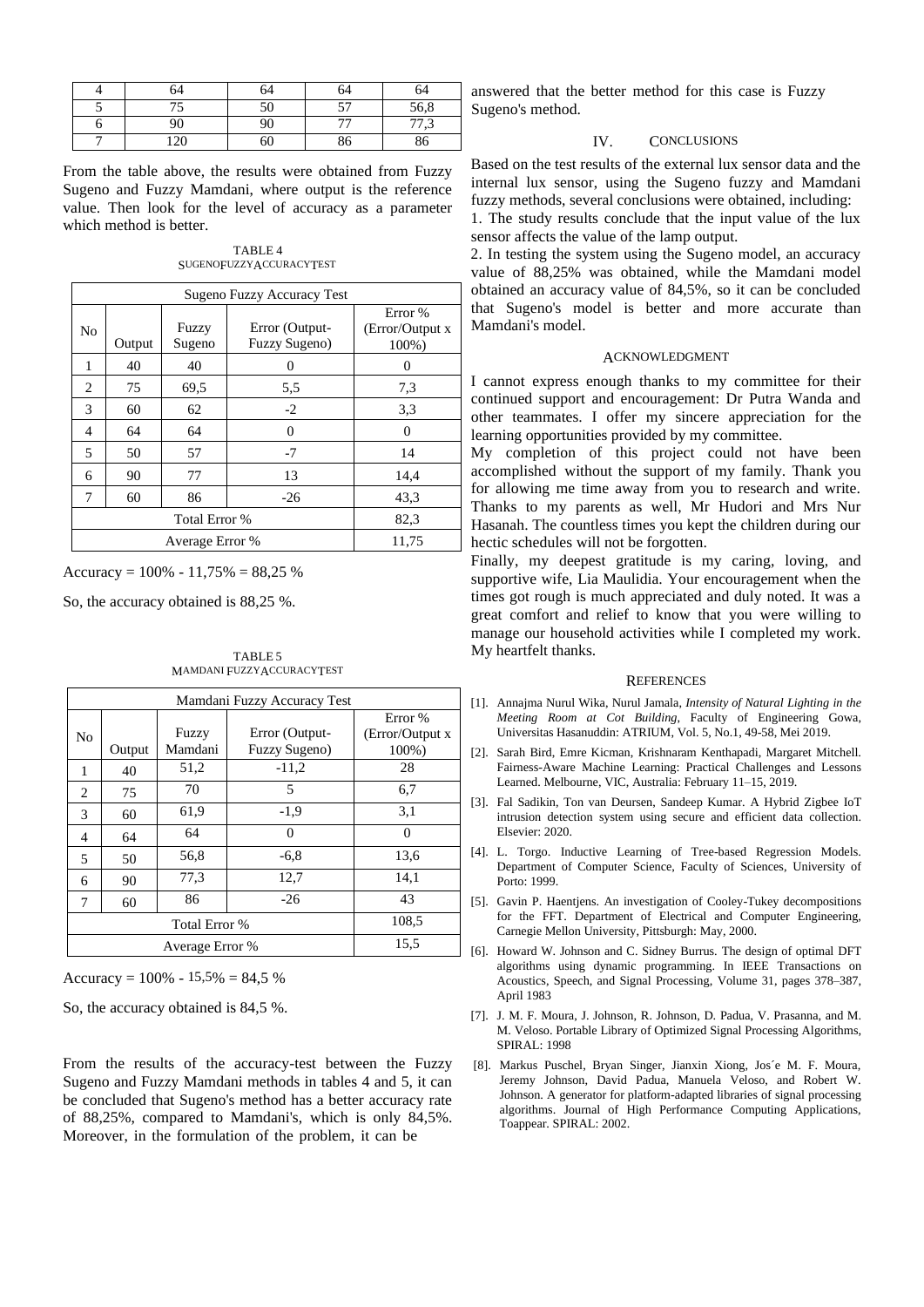| 54              |    | 34             | 54            |
|-----------------|----|----------------|---------------|
|                 | 50 | ٣٣<br>◡        | 56,8          |
|                 | 90 | $\overline{a}$ | 77.2<br>ر ، ا |
| $\Omega$<br>200 | 60 | 80             | 86            |

From the table above, the results were obtained from Fuzzy Sugeno and Fuzzy Mamdani, where output is the reference value. Then look for the level of accuracy as a parameter which method is better.

TABLE 4 SUGENOFUZZY ACCURACYTEST

|    | Sugeno Fuzzy Accuracy Test |                 |                                 |                                      |  |
|----|----------------------------|-----------------|---------------------------------|--------------------------------------|--|
| No | Output                     | Fuzzy<br>Sugeno | Error (Output-<br>Fuzzy Sugeno) | Error %<br>(Error/Output x)<br>100%) |  |
| 1  | 40                         | 40              | 0                               | 0                                    |  |
| 2  | 75                         | 69,5            | 5,5                             | 7,3                                  |  |
| 3  | 60                         | 62              | $-2$                            | 3.3                                  |  |
| 4  | 64                         | 64              | 0                               | 0                                    |  |
| 5  | 50                         | 57              | $-7$                            | 14                                   |  |
| 6  | 90                         | 77              | 13                              | 14,4                                 |  |
| 7  | 60                         | 86              | $-26$                           | 43.3                                 |  |
|    |                            | 82,3            |                                 |                                      |  |
|    |                            | 11,75           |                                 |                                      |  |

Accuracy =  $100\% - 11,75\% = 88,25\%$ 

So, the accuracy obtained is 88,25 %.

TABLE 5 MAMDANI FUZZYACCURACYTEST

| Mamdani Fuzzy Accuracy Test |        |                  |                                 |                                      |
|-----------------------------|--------|------------------|---------------------------------|--------------------------------------|
| No                          | Output | Fuzzy<br>Mamdani | Error (Output-<br>Fuzzy Sugeno) | Error %<br>(Error/Output x)<br>100%) |
| 1                           | 40     | 51,2             | $-11,2$                         | 28                                   |
| 2                           | 75     | 70               | 5                               | 6,7                                  |
| 3                           | 60     | 61,9             | $-1,9$                          | 3,1                                  |
| 4                           | 64     | 64               | 0                               | 0                                    |
| 5                           | 50     | 56,8             | $-6,8$                          | 13,6                                 |
| 6                           | 90     | 77,3             | 12,7                            | 14,1                                 |
| 7                           | 60     | 86               | $-26$                           | 43                                   |
| Total Error %               |        |                  |                                 | 108.5                                |
|                             |        | 15.5             |                                 |                                      |

Accuracy =  $100\% - 15,5\% = 84,5\%$ 

So, the accuracy obtained is 84,5 %.

From the results of the accuracy-test between the Fuzzy Sugeno and Fuzzy Mamdani methods in tables 4 and 5, it can be concluded that Sugeno's method has a better accuracy rate of 88,25%, compared to Mamdani's, which is only 84,5%. Moreover, in the formulation of the problem, it can be

answered that the better method for this case is Fuzzy Sugeno's method.

## IV. CONCLUSIONS

Based on the test results of the external lux sensor data and the internal lux sensor, using the Sugeno fuzzy and Mamdani fuzzy methods, several conclusions were obtained, including:

1. The study results conclude that the input value of the lux sensor affects the value of the lamp output.

2. In testing the system using the Sugeno model, an accuracy value of 88,25% was obtained, while the Mamdani model obtained an accuracy value of 84,5%, so it can be concluded that Sugeno's model is better and more accurate than Mamdani's model.

#### ACKNOWLEDGMENT

I cannot express enough thanks to my committee for their continued support and encouragement: Dr Putra Wanda and other teammates. I offer my sincere appreciation for the learning opportunities provided by my committee.

My completion of this project could not have been accomplished without the support of my family. Thank you for allowing me time away from you to research and write. Thanks to my parents as well, Mr Hudori and Mrs Nur Hasanah. The countless times you kept the children during our hectic schedules will not be forgotten.

Finally, my deepest gratitude is my caring, loving, and supportive wife, Lia Maulidia. Your encouragement when the times got rough is much appreciated and duly noted. It was a great comfort and relief to know that you were willing to manage our household activities while I completed my work. My heartfelt thanks.

#### **REFERENCES**

- [1]. Annajma Nurul Wika, Nurul Jamala, *Intensity of Natural Lighting in the Meeting Room at Cot Building*, Faculty of Engineering Gowa, Universitas Hasanuddin: ATRIUM, Vol. 5, No.1, 49-58, Mei 2019.
- [2]. Sarah Bird, Emre Kicman, Krishnaram Kenthapadi, Margaret Mitchell. Fairness-Aware Machine Learning: Practical Challenges and Lessons Learned. Melbourne, VIC, Australia: February 11–15, 2019.
- [3]. Fal Sadikin, Ton van Deursen, Sandeep Kumar. A Hybrid Zigbee IoT intrusion detection system using secure and efficient data collection. Elsevier: 2020.
- [4]. L. Torgo. Inductive Learning of Tree-based Regression Models. Department of Computer Science, Faculty of Sciences, University of Porto: 1999.
- [5]. Gavin P. Haentjens. An investigation of Cooley-Tukey decompositions for the FFT. Department of Electrical and Computer Engineering, Carnegie Mellon University, Pittsburgh: May, 2000.
- [6]. Howard W. Johnson and C. Sidney Burrus. The design of optimal DFT algorithms using dynamic programming. In IEEE Transactions on Acoustics, Speech, and Signal Processing, Volume 31, pages 378–387, April 1983
- [7]. J. M. F. Moura, J. Johnson, R. Johnson, D. Padua, V. Prasanna, and M. M. Veloso. Portable Library of Optimized Signal Processing Algorithms, SPIRAL: 1998
- [8]. Markus Puschel, Bryan Singer, Jianxin Xiong, Jos´e M. F. Moura, Jeremy Johnson, David Padua, Manuela Veloso, and Robert W. Johnson. A generator for platform-adapted libraries of signal processing algorithms. Journal of High Performance Computing Applications, Toappear. SPIRAL: 2002.